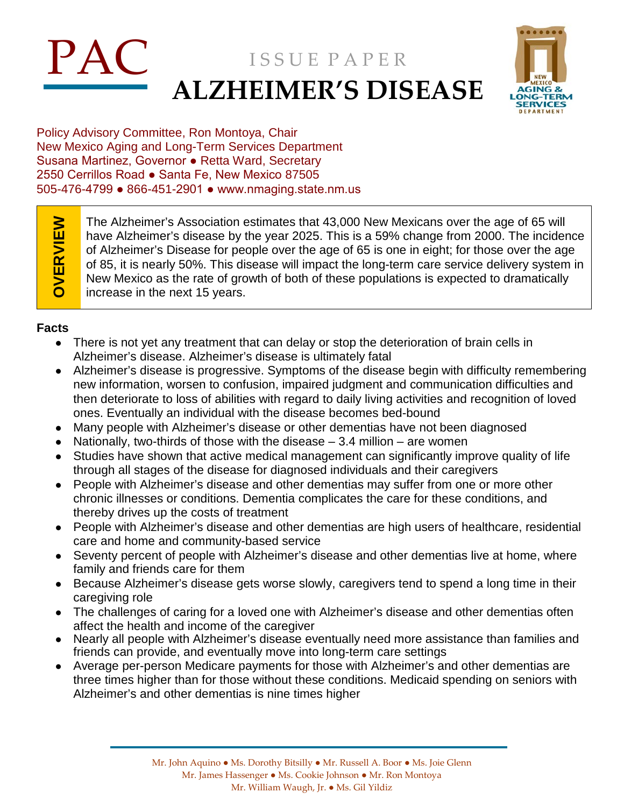# PAC ISSUE PAPER **ALZHEIMER'S DISEASE**



Policy Advisory Committee, Ron Montoya, Chair New Mexico Aging and Long-Term Services Department Susana Martinez, Governor ● Retta Ward, Secretary 2550 Cerrillos Road ● Santa Fe, New Mexico 87505 505-476-4799 ● 866-451-2901 ● www.nmaging.state.nm.us

OVERVIEW **OVERVIEW**

The Alzheimer's Association estimates that 43,000 New Mexicans over the age of 65 will have Alzheimer's disease by the year 2025. This is a 59% change from 2000. The incidence of Alzheimer's Disease for people over the age of 65 is one in eight; for those over the age of 85, it is nearly 50%. This disease will impact the long-term care service delivery system in New Mexico as the rate of growth of both of these populations is expected to dramatically increase in the next 15 years.

## **Facts**

- There is not yet any treatment that can delay or stop the deterioration of brain cells in Alzheimer's disease. Alzheimer's disease is ultimately fatal
- Alzheimer's disease is progressive. Symptoms of the disease begin with difficulty remembering new information, worsen to confusion, impaired judgment and communication difficulties and then deteriorate to loss of abilities with regard to daily living activities and recognition of loved ones. Eventually an individual with the disease becomes bed-bound
- Many people with Alzheimer's disease or other dementias have not been diagnosed
- Nationally, two-thirds of those with the disease  $-3.4$  million  $-$  are women
- Studies have shown that active medical management can significantly improve quality of life through all stages of the disease for diagnosed individuals and their caregivers
- People with Alzheimer's disease and other dementias may suffer from one or more other chronic illnesses or conditions. Dementia complicates the care for these conditions, and thereby drives up the costs of treatment
- People with Alzheimer's disease and other dementias are high users of healthcare, residential care and home and community-based service
- Seventy percent of people with Alzheimer's disease and other dementias live at home, where family and friends care for them
- Because Alzheimer's disease gets worse slowly, caregivers tend to spend a long time in their caregiving role
- The challenges of caring for a loved one with Alzheimer's disease and other dementias often affect the health and income of the caregiver
- Nearly all people with Alzheimer's disease eventually need more assistance than families and friends can provide, and eventually move into long-term care settings
- Average per-person Medicare payments for those with Alzheimer's and other dementias are three times higher than for those without these conditions. Medicaid spending on seniors with Alzheimer's and other dementias is nine times higher